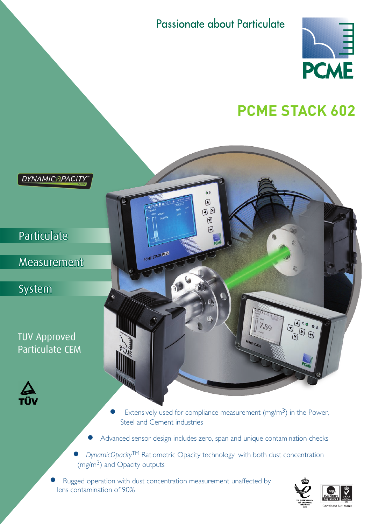Passionate about Particulate

 $\bullet \triangle$  $\boxed{\text{ }}$ OD  $\boxed{0}$  $\sqrt{2}$ 



# **PCME Stack 602**

**DYNAMICAPACITY** 

**Particulate** 

Measurement

System

TUV Approved Particulate CEM



- Extensively used for compliance measurement (mg/m<sup>3</sup>) in the Power, Steel and Cement industries
- Advanced sensor design includes zero, span and unique contamination checks
- *DynamicOpacity*TM Ratiometric Opacity technology with both dust concentration  $(mg/m<sup>3</sup>)$  and Opacity outputs
- Rugged operation with dust concentration measurement unaffected by lens contamination of 90%

PCME STACK PLUS

 $\delta$ 



 $\begin{picture}(120,15) \put(0,0){\line(1,0){155}} \put(15,0){\line(1,0){155}} \put(15,0){\line(1,0){155}} \put(15,0){\line(1,0){155}} \put(15,0){\line(1,0){155}} \put(15,0){\line(1,0){155}} \put(15,0){\line(1,0){155}} \put(15,0){\line(1,0){155}} \put(15,0){\line(1,0){155}} \put(15,0){\line(1,0){155}} \put(15,0){\line(1,0){155}}$ 

 $7.59$ 

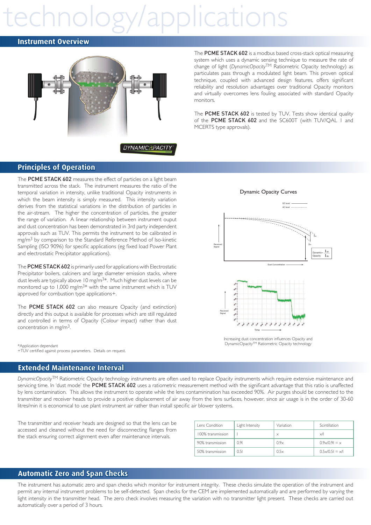# pplication

#### **Instrument Overview**



The PCME STACK 602 is a modbus based cross-stack optical measuring system which uses a dynamic sensing technique to measure the rate of change of light (*DynamicOpacity*TM Ratiometric Opacity technology) as particulates pass through a modulated light beam. This proven optical technique, coupled with advanced design features, offers significant reliability and resolution advantages over traditional Opacity monitors and virtually overcomes lens fouling associated with standard Opacity monitors.

The PCME STACK 602 is tested by TUV. Tests show identical quality of the PCME STACK 602 and the SC600T (with TUV/QAL I and MCERTS type approvals).

### **Principles of Operation**

The PCME STACK 602 measures the effect of particles on a light beam transmitted across the stack. The instrument measures the ratio of the temporal variation in intensity, unlike traditional Opacity instruments in which the beam intensity is simply measured. This intensity variation derives from the statistical variations in the distribution of particles in the air-stream. The higher the concentration of particles, the greater the range of variation. A linear relationship between instrument ouput and dust concentration has been demonstrated in 3rd party independent approvals such as TUV. This permits the instrument to be calibrated in mg/m<sup>3</sup> by comparison to the Standard Reference Method of Iso-kinetic Sampling (ISO 9096) for specific applications (eg fixed load Power Plant and electrostatic Precipitator applications).

The PCME STACK 602 is primarily used for applications with Electrostatic Precipitator boilers, calciners and large diameter emission stacks, where dust levels are typically above 10 mg/m<sup>3\*</sup>. Much higher dust levels can be monitored up to 1,000 mg/m<sup>3\*</sup> with the same instrument which is TUV approved for combustion type applications+.

The PCME STACK 602 can also measure Opacity (and extinction) directly and this output is available for processes which are still regulated and controlled in terms of Opacity (Colour impact) rather than dust concentration in mg/m3.

\*Application dependant +TUV certified against process parameters. Details on request.

#### **Extended Maintenance Interval**

*DynamicOpacity*TM Ratiometric Opacity technology instruments are often used to replace Opacity instruments which require extensive maintenance and servicing time. In 'dust mode' the PCME STACK 602 uses a ratiometric measurement method with the significant advantage that this ratio is unaffected by lens contamination. This allows the instrument to operate while the lens contaminination has exceeded 90%. Air purges should be connected to the transmitter and receiver heads to provide a positive displacement of air away from the lens surfaces, however, since air usage is in the order of 30-60 litres/min it is economical to use plant instrument air rather than install specific air blower systems.

The transmitter and receiver heads are designed so that the lens can be accessed and cleaned without the need for disconnecting flanges from the stack ensuring correct alignment even after maintenance intervals.

| Lens Condition    | Light Intensity | Variation | Scintillation                  |
|-------------------|-----------------|-----------|--------------------------------|
| 100% transmission |                 | $\times$  | $\times$ /l                    |
| 90% transmission  | 0.91            | 0.9x      | $0.9 \times 0.91 = x$          |
| 50% transmission  | 0.51            | 0.5x      | $0.5 \times 10.51 = \times 11$ |

#### **Automatic Zero and Span Checks**

The instrument has automatic zero and span checks which monitor for instrument integrity. These checks simulate the operation of the instrument and permit any internal instrument problems to be self-detected. Span checks for the CEM are implemented automatically and are performed by varying the light intensity in the transmitter head. The zero check involves measuring the variation with no transmitter light present. These checks are carried out automatically over a period of 3 hours.





Increasing dust concentration influences Opacity and DynamicOpacityTM Ratiometric Opacity technology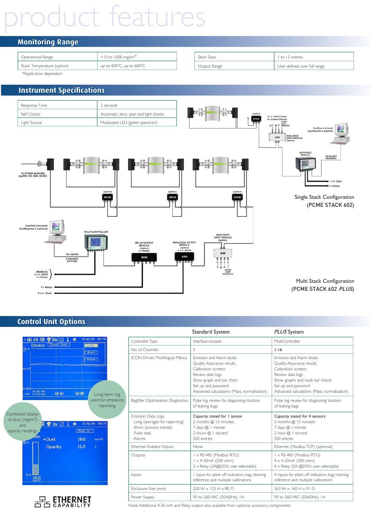# **uct features**

# **Monitoring Range**

| Operational Range          | $<$ 10 to 1000 mg/m <sup>3*</sup> | <b>Stack Sizes</b> | I to 15 metres               |
|----------------------------|-----------------------------------|--------------------|------------------------------|
| Stack Temperature (option) | up to 400°C, up to 600°C          | Output Range       | User defined over full range |

\*Application dependant

# **Instrument Specifications**



## **Control Unit Options**

| m<br>10.0<br>mg/m                                                                     | τ<br>喫<br>Device <b>Estack1</b> Dust | 26/86/89<br>$\cdot$<br>Long    | 89118<br>Short<br>Pulse                          |  |
|---------------------------------------------------------------------------------------|--------------------------------------|--------------------------------|--------------------------------------------------|--|
| 0.00<br>25/86/89<br><b>STORE</b><br>17:36:00<br>Combined display<br>of dust $(mg/m3)$ | 00                                   | $\bigoplus$ $\bigoplus$        | Long term log<br>used for emissions<br>reporting |  |
| and<br>opacity readings                                                               | Ï.<br>а<br>应                         | 26/86/89<br>$\cdot$<br>Zoon in | 89:23                                            |  |
| $-1$ <i>i</i> in its<br>50.0                                                          | $\rightarrow$ Dust                   | 18.6                           | ng/n3                                            |  |
| 0.0                                                                                   | <b>Opacity</b>                       | 11.3                           | ×                                                |  |



|                                                                                                       | Standard System                                                                                                                                                                                     | PLUS System                                                                                                                                                                                                 |
|-------------------------------------------------------------------------------------------------------|-----------------------------------------------------------------------------------------------------------------------------------------------------------------------------------------------------|-------------------------------------------------------------------------------------------------------------------------------------------------------------------------------------------------------------|
| Controller Type                                                                                       | Interface module                                                                                                                                                                                    | MultiController                                                                                                                                                                                             |
| No of Channels                                                                                        | ı                                                                                                                                                                                                   | $1 - 16$                                                                                                                                                                                                    |
| ICON Driven Multilingual Menus                                                                        | Emission and Alarm levels<br>Quality Assurance results<br>Calibration screens<br>Review data logs<br>Show graph and bar chart<br>Set up and password<br>Advanced calculations (Mass, normalisation) | Emission and Alarm levels<br>Quality Assurance results<br>Calibration screens<br>Review data logs<br>Show graphs and multi bar charts<br>Set up and password<br>Advanced calculations (Mass, normalisation) |
| Bagfilter Optimisation Diagnostics                                                                    | Pulse log review for diagnosing location<br>of leaking bags                                                                                                                                         | Pulse log review for diagnosing location<br>of leaking bags                                                                                                                                                 |
| Emission Data Logs<br>Long (averages for reporting)<br>Short (process trends)<br>Pulse data<br>Alarms | Capacity stated for 1 sensor<br>2 months @ 15 minutes<br>7 days @   minute<br>2 hours $@ $ i second<br>500 entries                                                                                  | Capacity stated for 4 sensors<br>2 months @ 15 minutes<br>7 days @   minute<br>2 hour $@$   second<br>500 entries                                                                                           |
| Ethernet Enabled Option                                                                               | <b>None</b>                                                                                                                                                                                         | Ethernet (Modbus TCP) (optional)                                                                                                                                                                            |
| Outputs                                                                                               | I x RS-485 (Modbus RTU)<br>$1 \times 4$ -20mA (500 ohm)<br>2 x Relay (2A@250V, user selectable)                                                                                                     | I x RS-485 (Modbus RTU)<br>$4 \times 4 - 20$ mA (500 ohm)<br>$4 \times$ Relay (2A @250V, user selectable)                                                                                                   |
| Inputs                                                                                                | I input for plant off indication, bag cleaning<br>reference and multiple calibrations                                                                                                               | 4 inputs for plant off indication, bag cleaning<br>reference and multiple calibrations                                                                                                                      |
| Enclosure Size (mm)                                                                                   | 220 W x 123 H x 80 D                                                                                                                                                                                | $263$ W $\times$ 160 H $\times$ 91 D                                                                                                                                                                        |
| Power Supply                                                                                          | 90 to 260 VAC (50/60Hz), IA                                                                                                                                                                         | 90 to 260 VAC (50/60Hz), IA                                                                                                                                                                                 |

Note: Additional 4-20 mA and Relay output also available from optional accessory components.